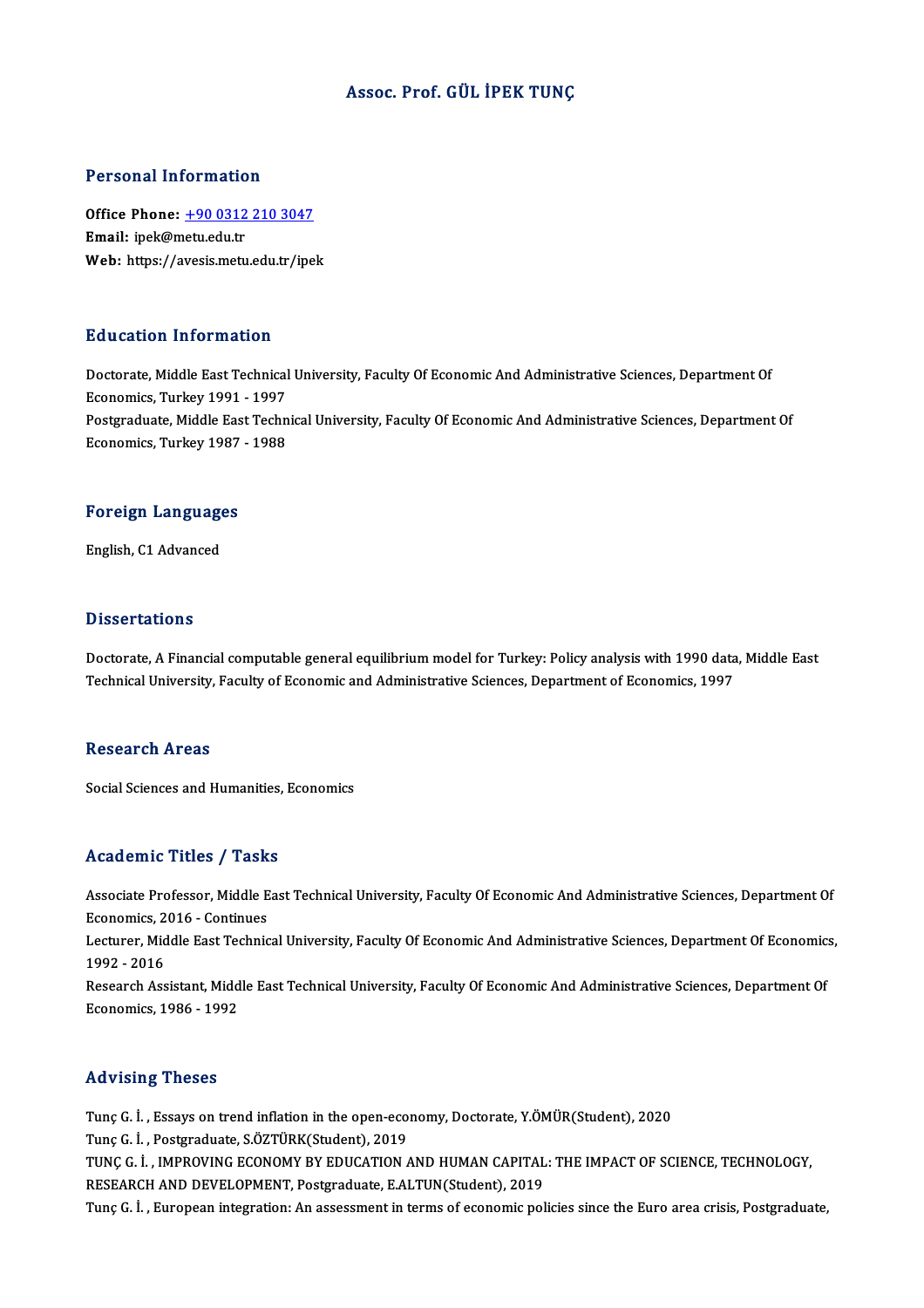### Assoc. Prof. GÜL İPEK TUNÇ

### Personal Information

Personal Information<br>Office Phone: <u>+90 0312 210 3047</u><br>Email: inel:@metu.edu.tr Fersonar milor matro<br>Office Phone: <u>+90 0312</u><br>Email: ipek@metu.edu.tr Email: ipek@metu.edu.tr<br>Web: https://a[vesis.metu.edu.tr/ipe](tel:+90 0312 210 3047)k

### Education Information

Doctorate, Middle East Technical University, Faculty Of Economic And Administrative Sciences, Department Of Economics, Turkey 1991 - 1997 Doctorate, Middle East Technical University, Faculty Of Economic And Administrative Sciences, Department Of<br>Economics, Turkey 1991 - 1997<br>Postgraduate, Middle East Technical University, Faculty Of Economic And Administrati Economics, Turkey 1991 - 1997<br>Postgraduate, Middle East Techn<br>Economics, Turkey 1987 - 1988

## economics, rurkey 1987<br>Foreign Languages F<mark>oreign Languag</mark>e<br>English, C1 Advanced

English, C1 Advanced<br>Dissertations

Dissertations<br>Doctorate, A Financial computable general equilibrium model for Turkey: Policy analysis with 1990 data, Middle East<br>Technical University, Easylty of Esenemic and Administrative Sciences, Denartment of Esenemi D'19991 tatron.<br>Doctorate, A Financial computable general equilibrium model for Turkey: Policy analysis with 1990 data<br>Technical University, Faculty of Economic and Administrative Sciences, Department of Economics, 1997 Technical University, Faculty of Economic and Administrative Sciences, Department of Economics, 1997<br>Research Areas

Social Sciences and Humanities, Economics

### Academic Titles / Tasks

Academic Titles / Tasks<br>Associate Professor, Middle East Technical University, Faculty Of Economic And Administrative Sciences, Department Of Associate Professor, Middle E<br>Economics, 2016 - Continues<br>Lecturer, Middle Fast Technic Associate Professor, Middle East Technical University, Faculty Of Economic And Administrative Sciences, Department Of<br>Economics, 2016 - Continues<br>Lecturer, Middle East Technical University, Faculty Of Economic And Administ

Economics, 2016 - Continues<br>Lecturer, Middle East Technic<br>1992 - 2016

Lecturer, Middle East Technical University, Faculty Of Economic And Administrative Sciences, Department Of Economics,<br>1992 - 2016<br>Research Assistant, Middle East Technical University, Faculty Of Economic And Administrative Research Assistant, Middle East Technical University, Faculty Of Economic And Administrative Sciences, Department Of

### Advising Theses

Tunc G. İ., Essays on trend inflation in the open-economy, Doctorate, Y.ÖMÜR(Student), 2020 Tunç G. İ., Postgraduate, S.ÖZTÜRK(Student), 2019 Tunç G. İ. , Essays on trend inflation in the open-economy, Doctorate, Y.ÖMÜR(Student), 2020<br>Tunç G. İ. , Postgraduate, S.ÖZTÜRK(Student), 2019<br>TUNÇ G. İ. , IMPROVING ECONOMY BY EDUCATION AND HUMAN CAPITAL: THE IMPACT OF S Tunç G. İ. , Postgraduate, S.ÖZTÜRK(Student), 2019<br>TUNÇ G. İ. , IMPROVING ECONOMY BY EDUCATION AND HUMAN CAPITAL<br>RESEARCH AND DEVELOPMENT, Postgraduate, E.ALTUN(Student), 2019<br>Tung G. İ. , European integration: An essessme TUNÇ G. İ. , IMPROVING ECONOMY BY EDUCATION AND HUMAN CAPITAL: THE IMPACT OF SCIENCE, TECHNOLOGY,<br>RESEARCH AND DEVELOPMENT, Postgraduate, E.ALTUN(Student), 2019<br>Tunç G. İ. , European integration: An assessment in terms of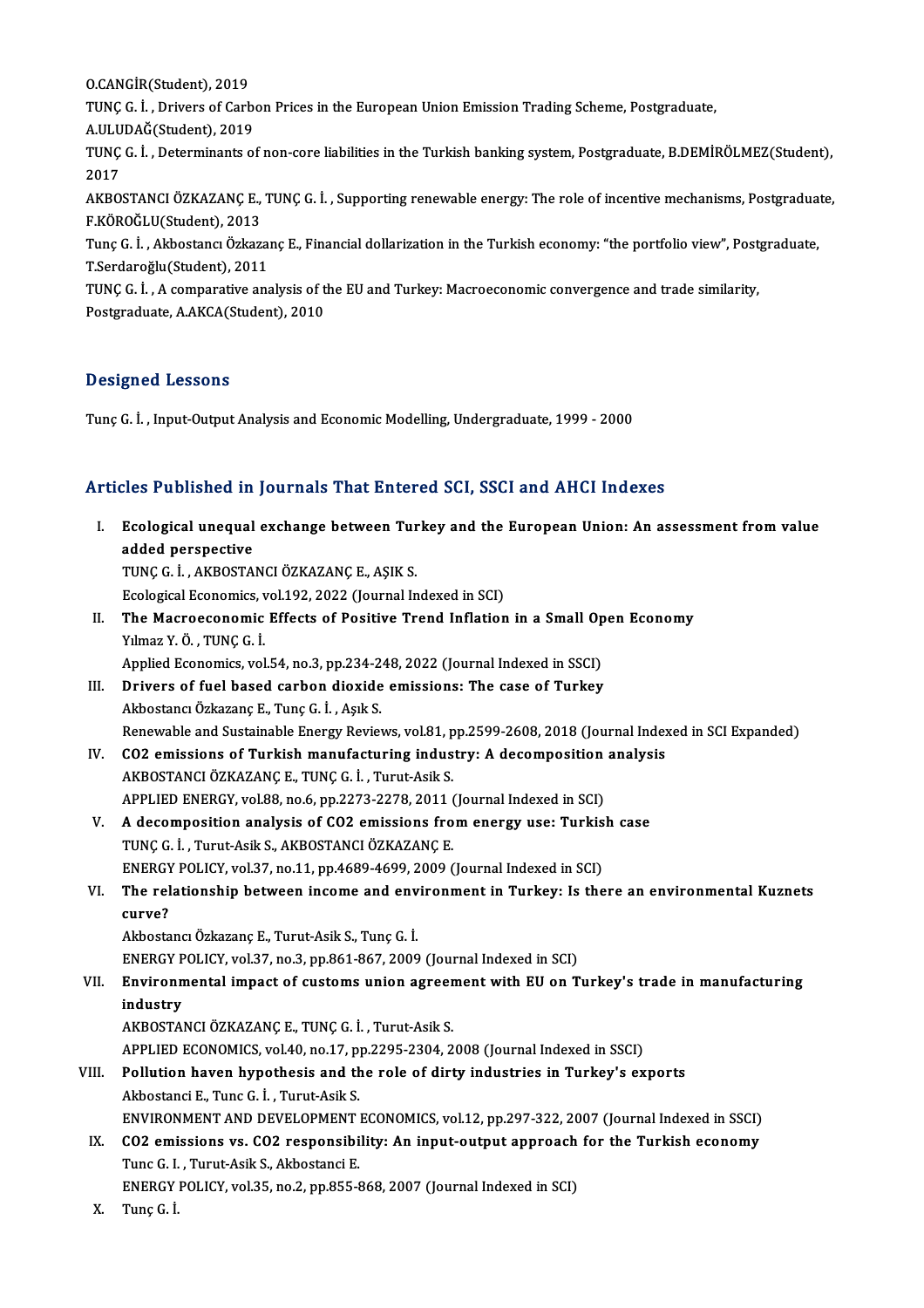O.CANGİR(Student),2019 O.CANGİR(Student), 2019<br>TUNÇ G. İ. , Drivers of Carb<br>A.ULUDAĞ(Student), 2019<br>TUNC C. İ. , Determinanta of

O.CANGİR(Student), 2019<br>TUNÇ G. İ. , Drivers of Carbon Prices in the European Union Emission Trading Scheme, Postgraduate,<br>A HI HDAČ(Student), 2019

TUNÇ G. İ. , Drivers of Carbon Prices in the European Union Emission Trading Scheme, Postgraduate,<br>A.ULUDAĞ(Student), 2019<br>TUNÇ G. İ. , Determinants of non-core liabilities in the Turkish banking system, Postgraduate, B.DE A.ULU<br>TUNÇ<br>2017<br>AKRO TUNÇ G. İ. , Determinants of non-core liabilities in the Turkish banking system, Postgraduate, B.DEMİRÖLMEZ(Student),<br>2017<br>AKBOSTANCI ÖZKAZANÇ E., TUNÇ G. İ. , Supporting renewable energy: The role of incentive mechanisms,

2017<br>AKBOSTANCI ÖZKAZANÇ E.,<br>F.KÖROĞLU(Student), 2013<br>Tung C. İ., Akbostansı Özkazı AKBOSTANCI ÖZKAZANÇ E., TUNÇ G. İ. , Supporting renewable energy: The role of incentive mechanisms, Postgradua<br>F.KÖROĞLU(Student), 2013<br>Tunç G. İ. , Akbostancı Özkazanç E., Financial dollarization in the Turkish economy: "

F.KÖROĞLU(Student), 2013<br>Tunç G. İ. , Akbostancı Özkazaı<br>T.Serdaroğlu(Student), 2011<br>TING G. İ. A comporative ana Tunç G. İ. , Akbostancı Özkazanç E., Financial dollarization in the Turkish economy: "the portfolio view", Post<br>T.Serdaroğlu(Student), 2011<br>TUNÇ G. İ. , A comparative analysis of the EU and Turkey: Macroeconomic convergenc

T.Serdaroğlu(Student), 2011<br>TUNÇ G. İ. , A comparative analysis of the EU and Turkey: Macroeconomic convergence and trade similarity,<br>Postgraduate, A.AKCA(Student), 2010

### Designed Lessons

Tunç G. İ., Input-Output Analysis and Economic Modelling, Undergraduate, 1999 - 2000

# 1 nmc G. L., input-output Analysis and Economic Modelling, Undergraduate, 1999 - 2000<br>Articles Published in Journals That Entered SCI, SSCI and AHCI Indexes

|       | Articles Published in Journals That Entered SCI, SSCI and AHCI Indexes                                                                                                                                                                      |
|-------|---------------------------------------------------------------------------------------------------------------------------------------------------------------------------------------------------------------------------------------------|
| L.    | Ecological unequal exchange between Turkey and the European Union: An assessment from value<br>added perspective<br>TUNÇ G. İ., AKBOSTANCI ÖZKAZANÇ E., AŞIK S.<br>Ecological Economics, vol.192, 2022 (Journal Indexed in SCI)             |
| П.    | The Macroeconomic Effects of Positive Trend Inflation in a Small Open Economy<br>Yılmaz Y Ö, TUNÇ Gİ<br>Applied Economics, vol.54, no.3, pp.234-248, 2022 (Journal Indexed in SSCI)                                                         |
| Ш.    | Drivers of fuel based carbon dioxide emissions: The case of Turkey<br>Akbostancı Özkazanç E., Tunç G. İ., Aşık S.<br>Renewable and Sustainable Energy Reviews, vol.81, pp.2599-2608, 2018 (Journal Indexed in SCI Expanded)                 |
| IV.   | CO2 emissions of Turkish manufacturing industry: A decomposition analysis<br>AKBOSTANCI ÖZKAZANÇ E., TUNÇ G. İ., Turut-Asik S.                                                                                                              |
| V.    | APPLIED ENERGY, vol.88, no.6, pp.2273-2278, 2011 (Journal Indexed in SCI)<br>A decomposition analysis of CO2 emissions from energy use: Turkish case<br>TUNÇ G. İ., Turut-Asik S., AKBOSTANCI ÖZKAZANÇ E.                                   |
| VI.   | ENERGY POLICY, vol.37, no.11, pp.4689-4699, 2009 (Journal Indexed in SCI)<br>The relationship between income and environment in Turkey: Is there an environmental Kuznets<br>curve?                                                         |
|       | Akbostancı Özkazanç E., Turut-Asik S., Tunç G. İ.<br>ENERGY POLICY, vol.37, no.3, pp.861-867, 2009 (Journal Indexed in SCI)                                                                                                                 |
| VII.  | Environmental impact of customs union agreement with EU on Turkey's trade in manufacturing<br>industry<br>AKBOSTANCI ÖZKAZANÇE, TUNÇ G. İ., Turut-Asik S.<br>APPLIED ECONOMICS, vol.40, no.17, pp.2295-2304, 2008 (Journal Indexed in SSCI) |
| VIII. | Pollution haven hypothesis and the role of dirty industries in Turkey's exports<br>Akbostanci E., Tunc G. İ., Turut-Asik S.<br>ENVIRONMENT AND DEVELOPMENT ECONOMICS, vol.12, pp.297-322, 2007 (Journal Indexed in SSCI)                    |
| IX.   | CO2 emissions vs. CO2 responsibility: An input-output approach for the Turkish economy<br>Tunc G. I., Turut-Asik S., Akbostanci E.                                                                                                          |
| Х.    | ENERGY POLICY, vol.35, no.2, pp.855-868, 2007 (Journal Indexed in SCI)<br>Tunç G.I.                                                                                                                                                         |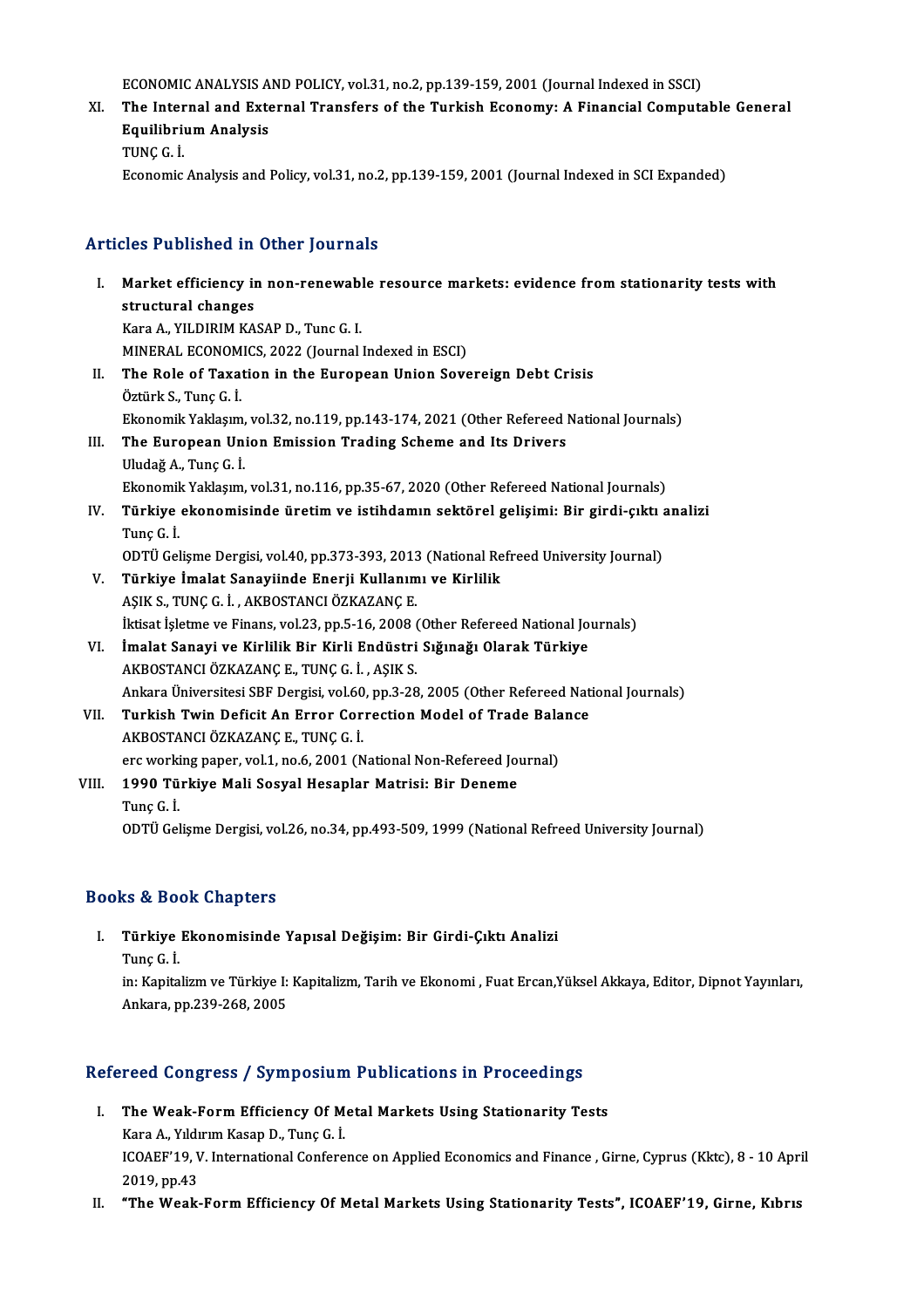ECONOMIC ANALYSIS AND POLICY, vol.31, no.2, pp.139-159, 2001 (Journal Indexed in SSCI)<br>The Internal and External Transfors of the Turkish Economy: A Einensial Compute

ECONOMIC ANALYSIS AND POLICY, vol.31, no.2, pp.139-159, 2001 (Journal Indexed in SSCI)<br>XI. The Internal and External Transfers of the Turkish Economy: A Financial Computable General ECONOMIC ANALYSIS A<br>The Internal and Exte<br>Equilibrium Analysis<br>TUNC C <sup>i</sup> The Inter<br>Equilibri<br>TUNÇ G. İ.<br>Esenemis Equilibrium Analysis<br>TUNÇ G. İ.<br>Economic Analysis and Policy, vol.31, no.2, pp.139-159, 2001 (Journal Indexed in SCI Expanded)

### Articles Published in Other Journals

- rticles Published in Other Journals<br>I. Market efficiency in non-renewable resource markets: evidence from stationarity tests with<br>structural changes structural changes<br>Market efficiency in<br>structural changes<br>Kana A. VII DIBIM KA Market efficiency in non-renewab.<br>structural changes<br>Kara A., YILDIRIM KASAP D., Tunc G. I.<br>MINERAL ECONOMICS 2022 (Journal structural changes<br>Kara A., YILDIRIM KASAP D., Tunc G. I.<br>MINERAL ECONOMICS, 2022 (Journal Indexed in ESCI)<br>The Bole of Texation in the Euronean Union Seve Kara A., YILDIRIM KASAP D., Tunc G. I.<br>MINERAL ECONOMICS, 2022 (Journal Indexed in ESCI)<br>II. The Role of Taxation in the European Union Sovereign Debt Crisis<br>Öztürk S., Tunç G. İ. MINERAL ECONOM<br>The Role of Taxa<br>Öztürk S., Tunç G. İ.<br>Ekonomik Yokkom Ekonomik Yaklaşım, vol.32, no.119, pp.143-174, 2021 (Other Refereed National Journals) III. The European Union Emission Trading Scheme and Its Drivers UludağA.,TunçG. İ. Ekonomik Yaklaşım, vol.31, no.116, pp.35-67, 2020 (Other Refereed National Journals) Uludağ A., Tunç G. İ.<br>Ekonomik Yaklaşım, vol.31, no.116, pp.35-67, 2020 (Other Refereed National Journals)<br>IV. Türkiye ekonomisinde üretim ve istihdamın sektörel gelişimi: Bir girdi-çıktı analizi<br>Tune C. İ Ekonomik<br>Türkiye<br>Tunç G. İ.<br>ODTÜ Gel Türkiye ekonomisinde üretim ve istihdamın sektörel gelişimi: Bir girdi-çıktı a<br>Tunç G. İ.<br>ODTÜ Gelişme Dergisi, vol.40, pp.373-393, 2013 (National Refreed University Journal)<br>Türkiye İmalat Sanayiinde Enerii Kullanımı ve K Tunç G. İ.<br>ODTÜ Gelişme Dergisi, vol.40, pp.373-393, 2013 (National Re<br>V. – Türkiye İmalat Sanayiinde Enerji Kullanımı ve Kirlilik<br>ASIK S. TUNG G. İ. AKROSTANGI ÖZKAZANG E ODTÜ Gelişme Dergisi, vol.40, pp.373-393, 2013<br>Türkiye İmalat Sanayiinde Enerji Kullanım<br>AŞIK S., TUNÇ G. İ. , AKBOSTANCI ÖZKAZANÇ E.<br>İktiset İslatme ve Finanç vol.22, nn 5, 16, 2008 ( AŞIK S., TUNÇ G. İ. , AKBOSTANCI ÖZKAZANÇ E.<br>İktisat İşletme ve Finans, vol.23, pp.5-16, 2008 (Other Refereed National Journals)
	-
- AŞIK S., TUNÇ G. İ. , AKBOSTANCI ÖZKAZANÇ E.<br>İktisat İşletme ve Finans, vol.23, pp.5-16, 2008 (Other Refereed National Jo<br>VI. İmalat Sanayi ve Kirlilik Bir Kirli Endüstri Sığınağı Olarak Türkiye<br>AKROSTANCI ÖZKAZANC E. TUNC İktisat İşletme ve Finans, vol.23, pp.5-16, 2008 (<br>İmalat Sanayi ve Kirlilik Bir Kirli Endüstri<br>AKBOSTANCI ÖZKAZANÇE., TUNÇG. İ. , AŞIK S.<br>Ankara Üniversitesi SBE Dersisi vol.60, np.2.28 AKBOSTANCI ÖZKAZANÇ E., TUNÇ G. İ. , AŞIK S.<br>Ankara Üniversitesi SBF Dergisi, vol.60, pp.3-28, 2005 (Other Refereed National Journals) AKBOSTANCI ÖZKAZANÇ E., TUNÇ G. İ. , AŞIK S.<br>Ankara Üniversitesi SBF Dergisi, vol.60, pp.3-28, 2005 (Other Refereed Nat<br>VII. Turkish Twin Deficit An Error Correction Model of Trade Balance<br>AKROSTANCI ÖZKAZANC E. TUNC C
- AKBOSTANCIÖZKAZANÇE.,TUNÇG. İ. Turkish Twin Deficit An Error Correction Model of Trade Bala<br>AKBOSTANCI ÖZKAZANÇ E., TUNÇ G. İ.<br>erc working paper, vol.1, no.6, 2001 (National Non-Refereed Journal)<br>1990 Türkiye Mali Seevel Hesanlar Matrisi: Bir Deneme erc working paper, vol.1, no.6, 2001 (National Non-Refereed Journal)
- VIII. 1990 Türkiye Mali Sosyal Hesaplar Matrisi: Bir Deneme<br>Tunç G. İ. ODTÜ Gelişme Dergisi, vol.26, no.34, pp.493-509, 1999 (National Refreed University Journal)

### Books&Book Chapters

ooks & Book Chapters<br>I. Türkiye Ekonomisinde Yapısal Değişim: Bir Girdi-Çıktı Analizi<br>Tune C. İ Türkiye<br>Türkiye<br>Tunç G. İ.

Türkiye Ekonomisinde Yapısal Değişim: Bir Girdi-Çıktı Analizi<br>Tunç G. İ.<br>in: Kapitalizm ve Türkiye I: Kapitalizm, Tarih ve Ekonomi , Fuat Ercan,Yüksel Akkaya, Editor, Dipnot Yayınları, Tunç G. İ.<br>in: Kapitalizm ve Türkiye I:<br>Ankara, pp.239-268, 2005

# Ankara, pp.239-268, 2005<br>Refereed Congress / Symposium Publications in Proceedings

- efereed Congress / Symposium Publications in Proceedings<br>I. The Weak-Form Efficiency Of Metal Markets Using Stationarity Tests<br>Kara A. Vilduum Kasan D. Tune C. İ. The Weak-Form Efficiency Of M<br>Kara A., Yıldırım Kasap D., Tunç G. İ.<br>ICOAEE'10 V. International Confere ICOAEF'19, V. International Conference on Applied Economics and Finance , Girne, Cyprus (Kktc), 8 - 10 April 2019, pp.43 Kara A., Yıldırım Kasap D., Tunç G. İ.
- II. "The Weak-Form Efficiency Of Metal Markets Using Stationarity Tests", ICOAEF'19, Girne, Kıbrıs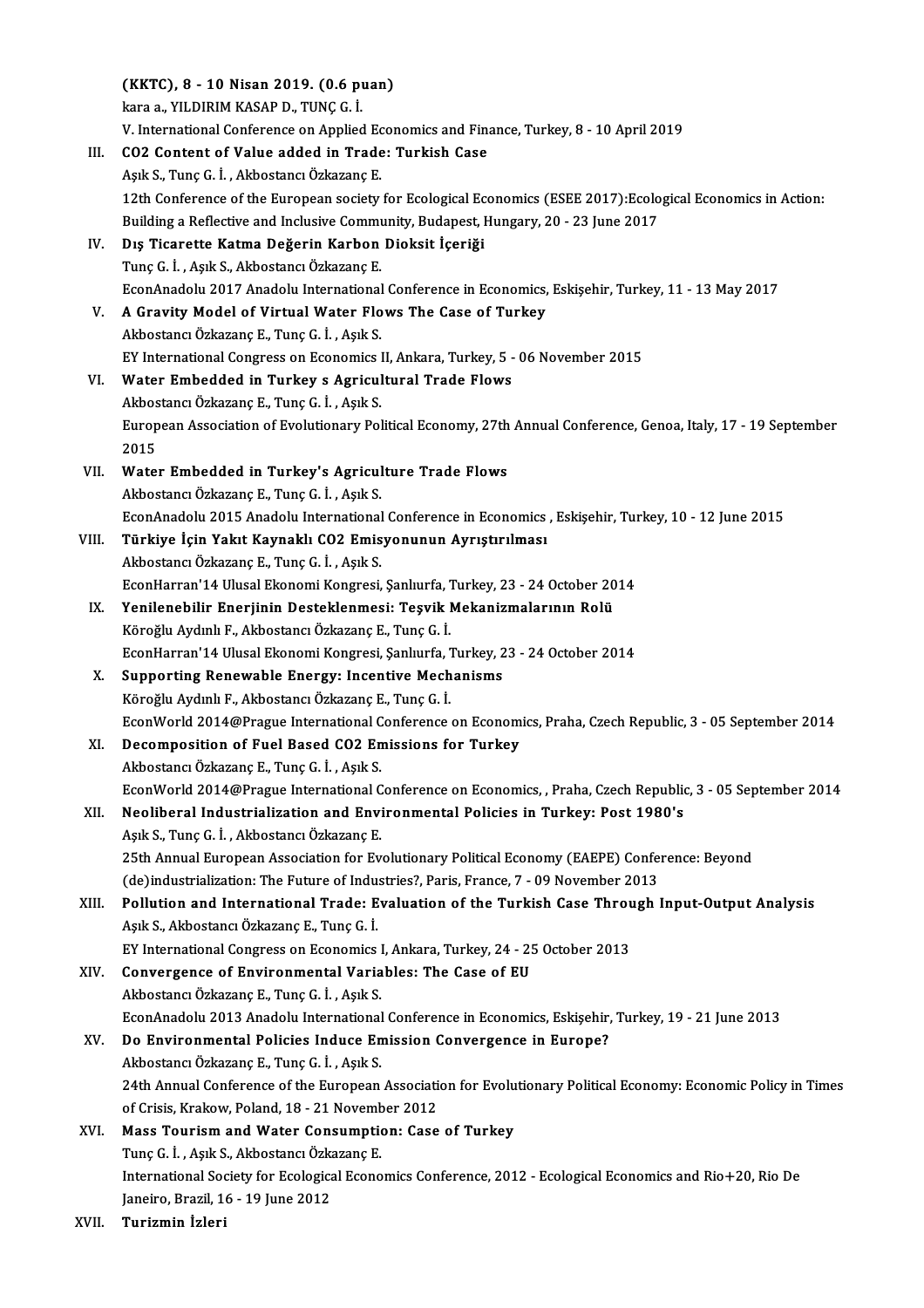(KKTC), 8 - 10 Nisan 2019. (0.6 puan) (KKTC), 8 - 10 Nisan 2019. (0.6 p)<br>kara a., YILDIRIM KASAP D., TUNÇ G. İ.<br>V. International Conference on Annlied (KKTC), 8 - 10 Nisan 2019. (0.6 puan)<br>kara a., YILDIRIM KASAP D., TUNÇ G. İ.<br>V. International Conference on Applied Economics and Finance, Turkey, 8 - 10 April 2019<br>CO2 Content of Value added in Trade: Turkieb Ceee kara a., YILDIRIM KASAP D., TUNÇ G. İ.<br>V. International Conference on Applied Economics and Fin<br>III. CO2 Content of Value added in Trade: Turkish Case<br>Aşık S., Tunç G. İ. , Akbostancı Özkazanç E. V. International Conference on Applied Ec<br>CO2 Content of Value added in Trade<br>Aşık S., Tunç G. İ. , Akbostancı Özkazanç E.<br>12th Conference of the European Society. 12thConference of Value added in Trade: Turkish Case<br>Aşık S., Tunç G. İ. , Akbostancı Özkazanç E.<br>12th Conference of the European society for Ecological Economics (ESEE 2017):Ecological Economics in Action:<br>Puilding a Befl Aşık S., Tunç G. İ. , Akbostancı Özkazanç E.<br>12th Conference of the European society for Ecological Economics (ESEE 2017):Ecolo<br>Building a Reflective and Inclusive Community, Budapest, Hungary, 20 - 23 June 2017<br>Die Tigare IV. Dış Ticarette Katma Değerin Karbon Dioksit İçeriği Building a Reflective and Inclusive Community, Budapest, Hungary, 20 - 23 June 2017 Dış Ticarette Katma Değerin Karbon Dioksit İçeriği<br>Tunç G. İ. , Aşık S., Akbostancı Özkazanç E.<br>EconAnadolu 2017 Anadolu International Conference in Economics, Eskişehir, Turkey, 11 - 13 May 2017<br>A Cravity Model of Vintual Tunç G. İ. , Aşık S., Akbostancı Özkazanç E.<br>EconAnadolu 2017 Anadolu International Conference in Economics,<br>V. A Gravity Model of Virtual Water Flows The Case of Turkey EconAnadolu 2017 Anadolu International<br>A Gravity Model of Virtual Water Flo<br>Akbostancı Özkazanç E., Tunç G. İ. , Aşık S.<br>EV International Congress on Esenemise I V. A Gravity Model of Virtual Water Flows The Case of Turkey<br>Akbostancı Özkazanç E., Tunç G. İ., Aşık S.<br>EY International Congress on Economics II, Ankara, Turkey, 5 - 06 November 2015 Akbostancı Özkazanç E., Tunç G. İ., Aşık S.<br>EY International Congress on Economics II, Ankara, Turkey, 5 -<br>VI. Water Embedded in Turkey s Agricultural Trade Flows EY International Congress on Economics I<br>Water Embedded in Turkey s Agricul<br>Akbostancı Özkazanç E., Tunç G. İ. , Aşık S.<br>European Assesiation of Evolutionewy Bol European Association of Evolutionary Political Economy, 27th Annual Conference, Genoa, Italy, 17 - 19 September<br>2015 Akbostancı Özkazanç E., Tunç G. İ., Aşık S. European Association of Evolutionary Political Economy, 27th<br>2015<br>VII. Water Embedded in Turkey's Agriculture Trade Flows 2015<br>Water Embedded in Turkey's Agricul<br>Akbostancı Özkazanç E., Tunç G. İ. , Aşık S.<br>FeanAnadalu 2015 Anadalu International Water Embedded in Turkey's Agriculture Trade Flows<br>Akbostancı Özkazanç E., Tunç G. İ. , Aşık S.<br>EconAnadolu 2015 Anadolu International Conference in Economics , Eskişehir, Turkey, 10 - 12 June 2015<br>Türkiye İsin Yakıt Kayna Akbostancı Özkazanç E., Tunç G. İ. , Aşık S.<br>EconAnadolu 2015 Anadolu International Conference in Economics<br>VIII. Türkiye İçin Yakıt Kaynaklı CO2 Emisyonunun Ayrıştırılması<br>Akbostancı Özkazanc E. Tunc G. İ. Açık S. EconAnadolu 2015 Anadolu International<br>Türkiye İçin Yakıt Kaynaklı CO2 Emis<br>Akbostancı Özkazanç E., Tunç G. İ. , Aşık S.<br>FeonHarran'14 Illusal Ekonomi Konsresi Türkiye İçin Yakıt Kaynaklı CO2 Emisyonunun Ayrıştırılması<br>Akbostancı Özkazanç E., Tunç G. İ. , Aşık S.<br>EconHarran'14 Ulusal Ekonomi Kongresi, Şanlıurfa, Turkey, 23 - 24 October 2014<br>Yonilonebilir Enerjinin Destaklarmesi, Akbostancı Özkazanç E., Tunç G. İ. , Aşık S.<br>EconHarran'14 Ulusal Ekonomi Kongresi, Şanlıurfa, Turkey, 23 - 24 October 20<br>IX. Yenilenebilir Enerjinin Desteklenmesi: Teşvik Mekanizmalarının Rolü EconHarran'14 Ulusal Ekonomi Kongresi, Şanlıurfa, T.<br>**Yenilenebilir Enerjinin Desteklenmesi: Teşvik** I.<br>Köroğlu Aydınlı F., Akbostancı Özkazanç E., Tunç G. İ.<br>FeonHarran'14 Ulusal Ekonomi Kongresi, Sanlıurfa İ. Yenilenebilir Enerjinin Desteklenmesi: Teşvik Mekanizmalarının Rolü<br>Köroğlu Aydınlı F., Akbostancı Özkazanç E., Tunç G. İ.<br>EconHarran'14 Ulusal Ekonomi Kongresi, Şanlıurfa, Turkey, 23 - 24 October 2014<br>Sunnorting Bonovyabl Köroğlu Aydınlı F., Akbostancı Özkazanç E., Tunç G. İ.<br>EconHarran'14 Ulusal Ekonomi Kongresi, Şanlıurfa, Turkey, 2<br>X. Supporting Renewable Energy: Incentive Mechanisms<br>Köroğlu Aydınlı F., Akbostancı Özkazanç E., Tunç G. İ. EconHarran'14 Ulusal Ekonomi Kongresi, Şanlıurfa, Turkey, 23 - 24 October 2014 Supporting Renewable Energy: Incentive Mechanisms<br>Köroğlu Aydınlı F., Akbostancı Özkazanç E., Tunç G. İ.<br>EconWorld 2014@Prague International Conference on Economics, Praha, Czech Republic, 3 - 05 September 2014<br>Desemnesiti Köroğlu Aydınlı F., Akbostancı Özkazanç E., Tunç G. İ.<br>EconWorld 2014@Prague International Conference on Econom<br>XI. Decomposition of Fuel Based CO2 Emissions for Turkey EconWorld 2014@Prague International C<br>Decomposition of Fuel Based CO2 En<br>Akbostancı Özkazanç E., Tunç G. İ. , Aşık S.<br>FeonWorld 2014@Prague International C Decomposition of Fuel Based CO2 Emissions for Turkey<br>Akbostancı Özkazanç E., Tunç G. İ. , Aşık S.<br>EconWorld 2014@Prague International Conference on Economics, , Praha, Czech Republic, 3 - 05 September 2014<br>Neoliberal Indus Akbostancı Özkazanç E., Tunç G. İ. , Aşık S.<br>EconWorld 2014@Prague International Conference on Economics, , Praha, Czech Republic<br>XII. Neoliberal Industrialization and Environmental Policies in Turkey: Post 1980's<br>Aşık S., EconWorld 2014@Prague International C<br>Neoliberal Industrialization and Envi<br>Aşık S., Tunç G. İ. , Akbostancı Özkazanç E.<br>25th Annual Europeen Assosiation for Eu Neoliberal Industrialization and Environmental Policies in Turkey: Post 1980's<br>Aşık S., Tunç G. İ. , Akbostancı Özkazanç E.<br>25th Annual European Association for Evolutionary Political Economy (EAEPE) Conference: Beyond<br>(da Aşık S., Tunç G. İ. , Akbostancı Özkazanç E.<br>25th Annual European Association for Evolutionary Political Economy (EAEPE) Confer<br>(de)industrialization: The Future of Industries?, Paris, France, 7 - 09 November 2013<br>Pollutio 25th Annual European Association for Evolutionary Political Economy (EAEPE) Conference: Beyond<br>(de)industrialization: The Future of Industries?, Paris, France, 7 - 09 November 2013<br>XIII. Pollution and International Trade: (de)industrialization: The Future of Industries?, Paris, France, 7 - 09 November 2013<br>Pollution and International Trade: Evaluation of the Turkish Case Through<br>Aşık S., Akbostancı Özkazanç E., Tunç G. İ.<br>EY International C Pollution and International Trade: Evaluation of the Turkish Case Throu<br>Aşık S., Akbostancı Özkazanç E., Tunç G. İ.<br>EY International Congress on Economics I, Ankara, Turkey, 24 - 25 October 2013<br>Convergence of Environmenta XIV. Convergence of Environmental Variables: The Case of EU AkbostancıÖzkazançE.,TunçG. İ. ,AşıkS. Convergence of Environmental Variables: The Case of EU<br>Akbostancı Özkazanç E., Tunç G. İ. , Aşık S.<br>EconAnadolu 2013 Anadolu International Conference in Economics, Eskişehir, Turkey, 19 - 21 June 2013<br>De Environmental Poli XV. Do Environmental Policies Induce Emission Convergence in Europe? EconAnadolu 2013 Anadolu International<br>Do Environmental Policies Induce En<br>Akbostancı Özkazanç E., Tunç G. İ. , Aşık S.<br>24th Annual Conforence of the Euronean 20 Environmental Policies Induce Emission Convergence in Europe?<br>Akbostancı Özkazanç E., Tunç G. İ. , Aşık S.<br>24th Annual Conference of the European Association for Evolutionary Political Economy: Economic Policy in Times<br> Akbostancı Özkazanç E., Tunç G. İ. , Aşık S.<br>24th Annual Conference of the European Associati<br>of Crisis, Krakow, Poland, 18 - 21 November 2012<br>Mass Touriam and Watar Consumption: Case 24th Annual Conference of the European Association for Evolu<br>of Crisis, Krakow, Poland, 18 - 21 November 2012<br>XVI. Mass Tourism and Water Consumption: Case of Turkey<br>Ture C. J. Ask S. Akkostans, Öskarans E of Crisis, Krakow, Poland, 18 - 21 Novemb<br>Mass Tourism and Water Consumptic<br>Tunç G. İ. , Aşık S., Akbostancı Özkazanç E.<br>International Segiety for Ecological Feone Tunç G. İ. , Aşık S., Akbostancı Özkazanç E.<br>International Society for Ecological Economics Conference, 2012 - Ecological Economics and Rio+20, Rio De Janeiro, Brazil, 16 - 19 June 2012

XVII. Turizmin İzleri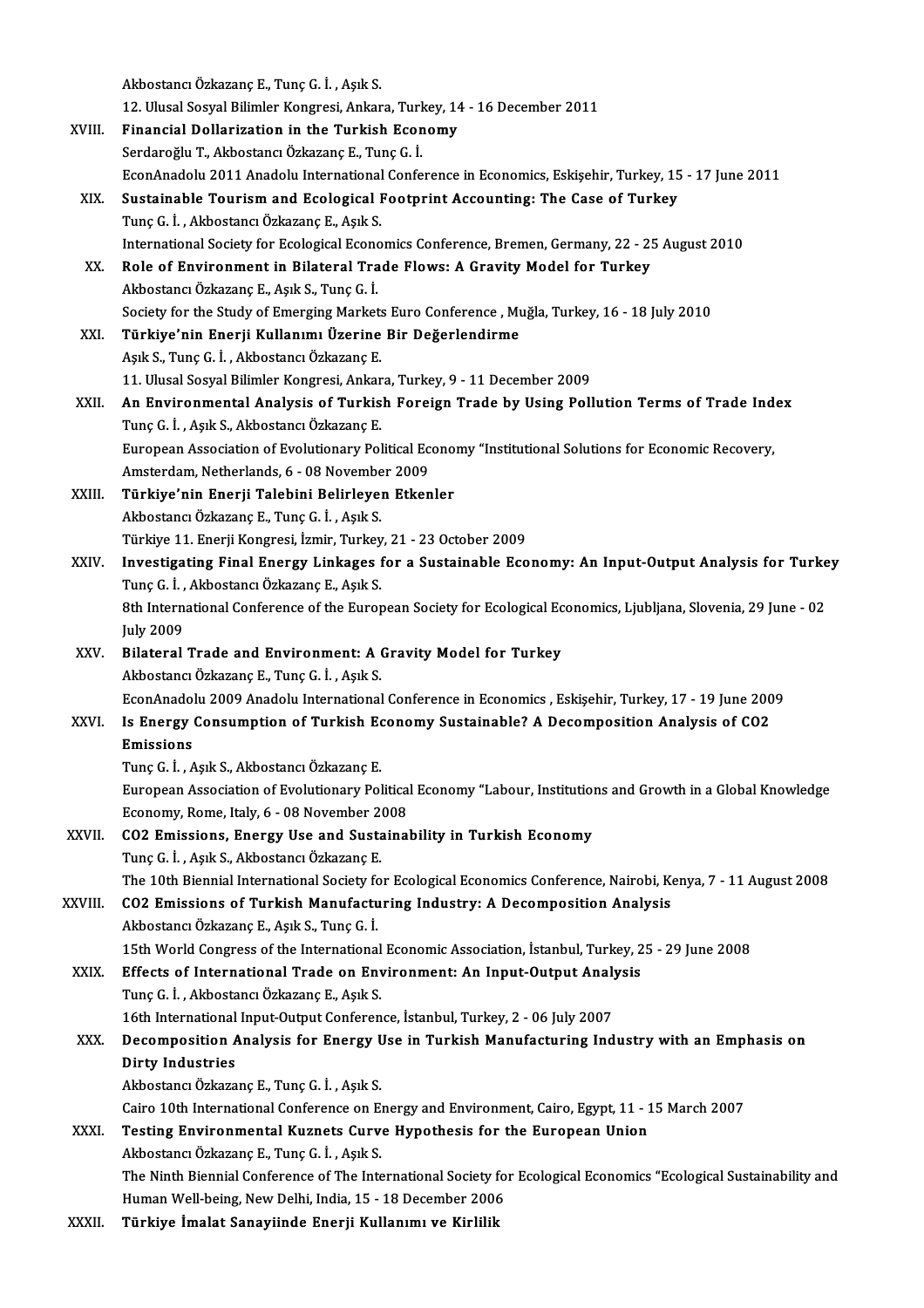|         | Akbostancı Özkazanç E., Tunç G. İ., Aşık S.                                                                                                            |
|---------|--------------------------------------------------------------------------------------------------------------------------------------------------------|
|         | 12. Ulusal Sosyal Bilimler Kongresi, Ankara, Turkey, 14 - 16 December 2011                                                                             |
| XVIII.  | Financial Dollarization in the Turkish Economy                                                                                                         |
|         | Serdaroğlu T., Akbostancı Özkazanç E., Tunç G. İ.                                                                                                      |
|         | EconAnadolu 2011 Anadolu International Conference in Economics, Eskișehir, Turkey, 15 - 17 June 2011                                                   |
| XIX.    | Sustainable Tourism and Ecological Footprint Accounting: The Case of Turkey                                                                            |
|         | Tunç G. İ., Akbostancı Özkazanç E., Aşık S.                                                                                                            |
|         | International Society for Ecological Economics Conference, Bremen, Germany, 22 - 25 August 2010                                                        |
| XX.     | Role of Environment in Bilateral Trade Flows: A Gravity Model for Turkey                                                                               |
|         | Akbostancı Özkazanç E., Aşık S., Tunç G. İ.                                                                                                            |
|         | Society for the Study of Emerging Markets Euro Conference, Muğla, Turkey, 16 - 18 July 2010                                                            |
| XXI.    | Türkiye'nin Enerji Kullanımı Üzerine Bir Değerlendirme                                                                                                 |
|         | Aşık S., Tunç G. İ., Akbostancı Özkazanç E.                                                                                                            |
|         | 11. Ulusal Sosyal Bilimler Kongresi, Ankara, Turkey, 9 - 11 December 2009                                                                              |
|         |                                                                                                                                                        |
| XXII.   | An Environmental Analysis of Turkish Foreign Trade by Using Pollution Terms of Trade Index<br>Tunç G. İ., Aşık S., Akbostancı Özkazanç E.              |
|         |                                                                                                                                                        |
|         | European Association of Evolutionary Political Economy "Institutional Solutions for Economic Recovery,<br>Amsterdam, Netherlands, 6 - 08 November 2009 |
| XXIII.  | Türkiye'nin Enerji Talebini Belirleyen Etkenler                                                                                                        |
|         | Akbostancı Özkazanç E., Tunç G. İ., Aşık S.                                                                                                            |
|         | Türkiye 11. Enerji Kongresi, İzmir, Turkey, 21 - 23 October 2009                                                                                       |
| XXIV.   | Investigating Final Energy Linkages for a Sustainable Economy: An Input-Output Analysis for Turkey                                                     |
|         | Tunç G. İ., Akbostancı Özkazanç E., Aşık S.                                                                                                            |
|         | 8th International Conference of the European Society for Ecological Economics, Ljubljana, Slovenia, 29 June - 02                                       |
|         | <b>July 2009</b>                                                                                                                                       |
| XXV.    | Bilateral Trade and Environment: A Gravity Model for Turkey                                                                                            |
|         | Akbostancı Özkazanç E., Tunç G. İ., Aşık S.                                                                                                            |
|         | EconAnadolu 2009 Anadolu International Conference in Economics , Eskișehir, Turkey, 17 - 19 June 2009                                                  |
| XXVI.   | Is Energy Consumption of Turkish Economy Sustainable? A Decomposition Analysis of CO2                                                                  |
|         | <b>Emissions</b>                                                                                                                                       |
|         | Tunç G. İ., Aşık S., Akbostancı Özkazanç E.                                                                                                            |
|         | European Association of Evolutionary Political Economy "Labour, Institutions and Growth in a Global Knowledge                                          |
|         |                                                                                                                                                        |
|         |                                                                                                                                                        |
|         | Economy, Rome, Italy, 6 - 08 November 2008                                                                                                             |
| XXVII.  | CO2 Emissions, Energy Use and Sustainability in Turkish Economy                                                                                        |
|         | Tunç G. İ., Aşık S., Akbostancı Özkazanç E.                                                                                                            |
|         | The 10th Biennial International Society for Ecological Economics Conference, Nairobi, Kenya, 7 - 11 August 2008                                        |
| XXVIII. | CO2 Emissions of Turkish Manufacturing Industry: A Decomposition Analysis                                                                              |
|         | Akbostancı Özkazanç E., Aşık S., Tunç G. İ.                                                                                                            |
|         | 15th World Congress of the International Economic Association, İstanbul, Turkey, 25 - 29 June 2008                                                     |
| XXIX.   | Effects of International Trade on Environment: An Input-Output Analysis                                                                                |
|         | Tunç G. İ., Akbostancı Özkazanç E., Aşık S.                                                                                                            |
|         | 16th International Input-Output Conference, İstanbul, Turkey, 2 - 06 July 2007                                                                         |
| XXX.    | Decomposition Analysis for Energy Use in Turkish Manufacturing Industry with an Emphasis on                                                            |
|         | <b>Dirty Industries</b>                                                                                                                                |
|         | Akbostancı Özkazanç E., Tunç G. İ., Aşık S.                                                                                                            |
|         | Cairo 10th International Conference on Energy and Environment, Cairo, Egypt, 11 - 15 March 2007                                                        |
| XXXI.   | Testing Environmental Kuznets Curve Hypothesis for the European Union                                                                                  |
|         | Akbostancı Özkazanç E., Tunç G. İ., Aşık S.                                                                                                            |
|         | The Ninth Biennial Conference of The International Society for Ecological Economics "Ecological Sustainability and                                     |
| XXXII.  | Human Well-being, New Delhi, India, 15 - 18 December 2006<br>Türkiye İmalat Sanayiinde Enerji Kullanımı ve Kirlilik                                    |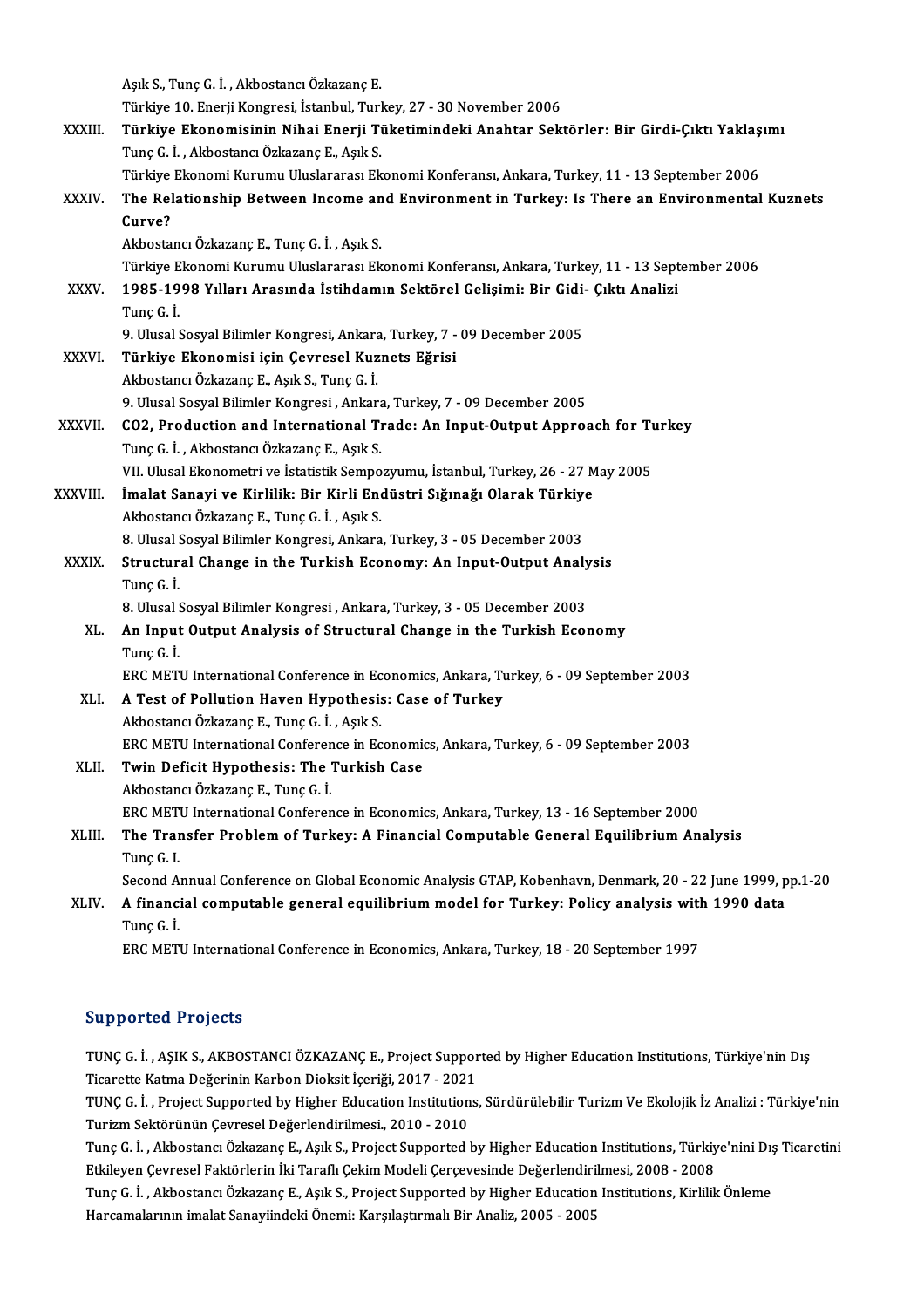AşıkS.,TunçG. İ. ,AkbostancıÖzkazançE.

Türkiye 10.EnerjiKongresi, İstanbul,Turkey,27 -30November 2006

- Aşık S., Tunç G. İ. , Akbostancı Özkazanç E.<br>Türkiye 10. Enerji Kongresi, İstanbul, Turkey, 27 30 November 2006<br>XXXIII. Türkiye Ekonomisinin Nihai Enerji Tüketimindeki Anahtar Sektörler: Bir Girdi-Çıktı Yaklaşımı<br>Tun Türkiye 10. Enerji Kongresi, İstanbul, Turl<br><mark>Türkiye Ekonomisinin Nihai Enerji Ti</mark><br>Tunç G. İ. , Akbostancı Özkazanç E., Aşık S.<br>Türkiye Ekonomi Kurumu Uluslararası Ek Türkiye Ekonomisinin Nihai Enerji Tüketimindeki Anahtar Sektörler: Bir Girdi-Çıktı Yaklaş<br>Tunç G. İ. , Akbostancı Özkazanç E., Aşık S.<br>Türkiye Ekonomi Kurumu Uluslararası Ekonomi Konferansı, Ankara, Turkey, 11 - 13 Septemb
	-
- Tunç G. İ. , Akbostancı Özkazanç E., Aşık S.<br>Türkiye Ekonomi Kurumu Uluslararası Ekonomi Konferansı, Ankara, Turkey: 11 13 September 2006<br>XXXIV. The Relationship Between Income and Environment in Turkey: Is There an Türkiye Ekonomi Kurumu Uluslararası Ekonomi Konferansı, Ankara, Turkey, 11 - 13 September 2006<br>The Relationship Between Income and Environment in Turkey: Is There an Environmenta.<br>Curve?<br>Akbostancı Özkazanç E., Tunç G. İ. The Relationship Between Income an<br>Curve?<br>Akbostancı Özkazanç E., Tunç G. İ. , Aşık S.<br>Türkiye Ekonomi Kurumu Uluslararası Ek

TürkiyeEkonomiKurumuUluslararasıEkonomiKonferansı,Ankara,Turkey,11 -13 September 2006

### Akbostancı Özkazanç E., Tunç G. İ. , Aşık S.<br>Türkiye Ekonomi Kurumu Uluslararası Ekonomi Konferansı, Ankara, Turkey, 11 - 13 Sept<br>XXXV. 1985-1998 Yılları Arasında İstihdamın Sektörel Gelişimi: Bir Gidi- Çıktı Analizi Türkiye E<br>1985-19<br>Tunç G. İ.<br>9 Husel <sup>(</sup> 1985-1998 Yılları Arasında İstihdamın Sektörel Gelişimi: Bir Gidi<br>Tunç G. İ.<br>9. Ulusal Sosyal Bilimler Kongresi, Ankara, Turkey, 7 - 09 December 2005<br>Türkiye Ekonomisi isin Coyresel Kurneta Eğrisi Tunç G. İ.<br>9. Ulusal Sosyal Bilimler Kongresi, Ankara, Turkey, 7 - 09 December 2005<br>XXXVI. Türkiye Ekonomisi için Çevresel Kuznets Eğrisi

AkbostancıÖzkazançE.,AşıkS.,TunçG. İ. Türkiye Ekonomisi için Çevresel Kuznets Eğrisi<br>Akbostancı Özkazanç E., Aşık S., Tunç G. İ.<br>9. Ulusal Sosyal Bilimler Kongresi , Ankara, Turkey, 7 - 09 December 2005<br>CO2, Production and International Trade: An Innut Qutnut

- Akbostancı Özkazanç E., Aşık S., Tunç G. İ.<br>9. Ulusal Sosyal Bilimler Kongresi , Ankara, Turkey, 7 09 December 2005<br>XXXVII. CO2, Production and International Trade: An Input-Output Approach for Turkey<br>Tune G. İ. Alth 9. Ulusal Sosyal Bilimler Kongresi , Ankara<br>CO2, Production and International T1<br>Tunç G. İ. , Akbostancı Özkazanç E., Aşık S.<br>VII Ulusal Ekanomatri ve İstatistik Somno CO2, Production and International Trade: An Input-Output Approach for Tu<br>Tunç G. İ. , Akbostancı Özkazanç E., Aşık S.<br>VII. Ulusal Ekonometri ve İstatistik Sempozyumu, İstanbul, Turkey, 26 - 27 May 2005<br>İmalat Sanavi ve Kir
- Tunç G. İ. , Akbostancı Özkazanç E., Aşık S.<br>VII. Ulusal Ekonometri ve İstatistik Sempozyumu, İstanbul, Turkey, 26 27 M<br>XXXVIII. İmalat Sanayi ve Kirlilik: Bir Kirli Endüstri Sığınağı Olarak Türkiye<br>Althestana Özkazana E VII. Ulusal Ekonometri ve İstatistik Sempozyumu, İstanbul, Turkey, 26 - 27 May 2005<br>İmalat Sanayi ve Kirlilik: Bir Kirli Endüstri Sığınağı Olarak Türkiye<br>Akbostancı Özkazanç E., Tunç G. İ. , Aşık S. İmalat Sanayi ve Kirlilik: Bir Kirli Endüstri Sığınağı Olarak Türkiye<br>Akbostancı Özkazanç E., Tunç G. İ. , Aşık S.<br>8. Ulusal Sosyal Bilimler Kongresi, Ankara, Turkey, 3 - 05 December 2003<br>Structural Change in the Turkish E

Akbostancı Özkazanç E., Tunç G. İ. , Aşık S.<br>8. Ulusal Sosyal Bilimler Kongresi, Ankara, Turkey, 3 - 05 December 2003<br>XXXIX. Structural Change in the Turkish Economy: An Input-Output Analysis<br>Tune G. İ 8. Ulusal Sosyal Bilimler Kongresi, Ankara, Turkey, 3 - 05 December 2003<br>Structural Change in the Turkish Economy: An Input-Output Anal<br>Tunç G. İ. Structural Change in the Turkish Economy: An Input-Output Analy<br>Tunç G. İ.<br>8. Ulusal Sosyal Bilimler Kongresi , Ankara, Turkey, 3 - 05 December 2003<br>An Input Qutput Analysis of Structural Change in the Turkish Ecol

8. Ulusal Sosyal Bilimler Kongresi, Ankara, Turkey, 3 - 05 December 2003

XL. An Input Output Analysis of Structural Change in the Turkish Economy

ERCMETUInternationalConference inEconomics,Ankara,Turkey,6 -09 September 2003

- XLI. A Test of Pollution Haven Hypothesis: Case of Turkey AkbostancıÖzkazançE.,TunçG. İ. ,AşıkS. A Test of Pollution Haven Hypothesis: Case of Turkey<br>Akbostancı Özkazanç E., Tunç G. İ. , Aşık S.<br>ERC METU International Conference in Economics, Ankara, Turkey, 6 - 09 September 2003<br>Turin Defisit Hunothesis: The Turkish Akbostancı Özkazanç E., Tunç G. İ., Aşık S.<br>ERC METU International Conference in Economic<br>XLII. Twin Deficit Hypothesis: The Turkish Case
- ERC METU International Conferen<br>Twin Deficit Hypothesis: The<br>Akbostancı Özkazanç E., Tunç G. İ.<br>EPC METU International Conferen Twin Deficit Hypothesis: The Turkish Case<br>Akbostancı Özkazanç E., Tunç G. İ.<br>ERC METU International Conference in Economics, Ankara, Turkey, 13 - 16 September 2000<br>The Transfor Problem of Turkey, A Einensial Computable Con Akbostancı Özkazanç E., Tunç G. İ.<br>ERC METU International Conference in Economics, Ankara, Turkey, 13 - 16 September 2000<br>XLIII. The Transfer Problem of Turkey: A Financial Computable General Equilibrium Analysis<br>Tunç

## ERC MET<br>The Tran<br>Tunç G. I.<br>Second A The Transfer Problem of Turkey: A Financial Computable General Equilibrium Analysis<br>Tunç G. I.<br>Second Annual Conference on Global Economic Analysis GTAP, Kobenhavn, Denmark, 20 - 22 June 1999, pp.1-20<br>A financial computabl

Tunç G. I.<br>Second Annual Conference on Global Economic Analysis GTAP, Kobenhavn, Denmark, 20 - 22 June 1999, p<br>XLIV. A financial computable general equilibrium model for Turkey: Policy analysis with 1990 data<br>Ture C İ Second A:<br>**A financ**:<br>Tunç G. İ.<br>ERC MET! A financial computable general equilibrium model for Turkey: Policy analysis witl<br>Tunç G. İ.<br>ERC METU International Conference in Economics, Ankara, Turkey, 18 - 20 September 1997

ERC METU International Conference in Economics, Ankara, Turkey, 18 - 20 September 1997<br>Supported Projects

TUNÇ G. İ., AŞIK S., AKBOSTANCI ÖZKAZANÇE., Project Supported by Higher Education Institutions, Türkiye'nin Dış TUNÇ G. İ. , AŞIK S., AKBOSTANCI ÖZKAZANÇ E., Project Suppor<br>Ticarette Katma Değerinin Karbon Dioksit İçeriği, 2017 - 2021<br>TUNC C. İ. , Project Supported bu Higher Education Institutions

TUNÇ G. İ. , Project Supported by Higher Education Institutions, Sürdürülebilir Turizm Ve Ekolojik İz Analizi : Türkiye'nin<br>Turizm Sektörünün Cevresel Değerlendirilmesi., 2010 - 2010 Ticarette Katma Değerinin Karbon Dioksit İçeriği, 2017 - 2021<br>TUNÇ G. İ. , Project Supported by Higher Education Institution<br>Turizm Sektörünün Çevresel Değerlendirilmesi., 2010 - 2010<br>Tune G. İ. , Althestane: Özkazane E., TUNÇ G. İ. , Project Supported by Higher Education Institutions, Sürdürülebilir Turizm Ve Ekolojik İz Analizi : Türkiye'nin<br>Turizm Sektörünün Çevresel Değerlendirilmesi., 2010 - 2010<br>Tunç G. İ. , Akbostancı Özkazanç E., Aş

Turizm Sektörünün Çevresel Değerlendirilmesi., 2010 - 2010<br>Tunç G. İ. , Akbostancı Özkazanç E., Aşık S., Project Supported by Higher Education Institutions, Türkiy<br>Etkileyen Çevresel Faktörlerin İki Taraflı Çekim Modeli Çe Tunç G. İ. , Akbostancı Özkazanç E., Aşık S., Project Supported by Higher Education Institutions, Türkiye'nini Dış<br>Etkileyen Çevresel Faktörlerin İki Taraflı Çekim Modeli Çerçevesinde Değerlendirilmesi, 2008 - 2008<br>Tunç G.

Etkileyen Çevresel Faktörlerin İki Taraflı Çekim Modeli Çerçevesinde Değerlendiri<br>Tunç G. İ. , Akbostancı Özkazanç E., Aşık S., Project Supported by Higher Education<br>Harcamalarının imalat Sanayiindeki Önemi: Karşılaştırmal